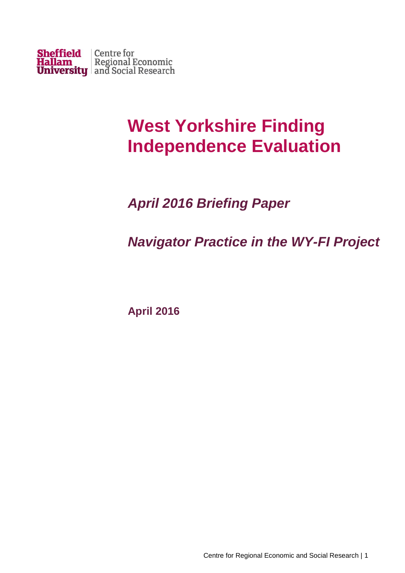

# **West Yorkshire Finding Independence Evaluation**

# *April 2016 Briefing Paper*

*Navigator Practice in the WY-FI Project*

**April 2016**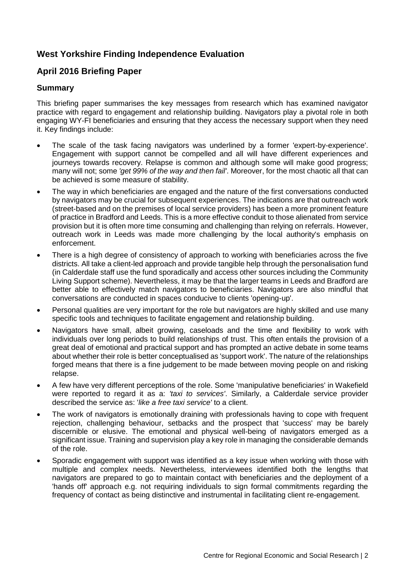## **West Yorkshire Finding Independence Evaluation**

### **April 2016 Briefing Paper**

#### **Summary**

This briefing paper summarises the key messages from research which has examined navigator practice with regard to engagement and relationship building. Navigators play a pivotal role in both engaging WY-FI beneficiaries and ensuring that they access the necessary support when they need it. Key findings include:

- The scale of the task facing navigators was underlined by a former 'expert-by-experience'. Engagement with support cannot be compelled and all will have different experiences and journeys towards recovery. Relapse is common and although some will make good progress; many will not; some *'get 99% of the way and then fail'*. Moreover, for the most chaotic all that can be achieved is some measure of stability.
- The way in which beneficiaries are engaged and the nature of the first conversations conducted by navigators may be crucial for subsequent experiences. The indications are that outreach work (street-based and on the premises of local service providers) has been a more prominent feature of practice in Bradford and Leeds. This is a more effective conduit to those alienated from service provision but it is often more time consuming and challenging than relying on referrals. However, outreach work in Leeds was made more challenging by the local authority's emphasis on enforcement.
- There is a high degree of consistency of approach to working with beneficiaries across the five districts. All take a client-led approach and provide tangible help through the personalisation fund (in Calderdale staff use the fund sporadically and access other sources including the Community Living Support scheme). Nevertheless, it may be that the larger teams in Leeds and Bradford are better able to effectively match navigators to beneficiaries. Navigators are also mindful that conversations are conducted in spaces conducive to clients 'opening-up'.
- Personal qualities are very important for the role but navigators are highly skilled and use many specific tools and techniques to facilitate engagement and relationship building.
- Navigators have small, albeit growing, caseloads and the time and flexibility to work with individuals over long periods to build relationships of trust. This often entails the provision of a great deal of emotional and practical support and has prompted an active debate in some teams about whether their role is better conceptualised as 'support work'. The nature of the relationships forged means that there is a fine judgement to be made between moving people on and risking relapse.
- A few have very different perceptions of the role. Some 'manipulative beneficiaries' in Wakefield were reported to regard it as a: *'taxi to services'*. Similarly, a Calderdale service provider described the service as: '*like a free taxi service'* to a client.
- The work of navigators is emotionally draining with professionals having to cope with frequent rejection, challenging behaviour, setbacks and the prospect that 'success' may be barely discernible or elusive. The emotional and physical well-being of navigators emerged as a significant issue. Training and supervision play a key role in managing the considerable demands of the role.
- Sporadic engagement with support was identified as a key issue when working with those with multiple and complex needs. Nevertheless, interviewees identified both the lengths that navigators are prepared to go to maintain contact with beneficiaries and the deployment of a 'hands off' approach e.g. not requiring individuals to sign formal commitments regarding the frequency of contact as being distinctive and instrumental in facilitating client re-engagement.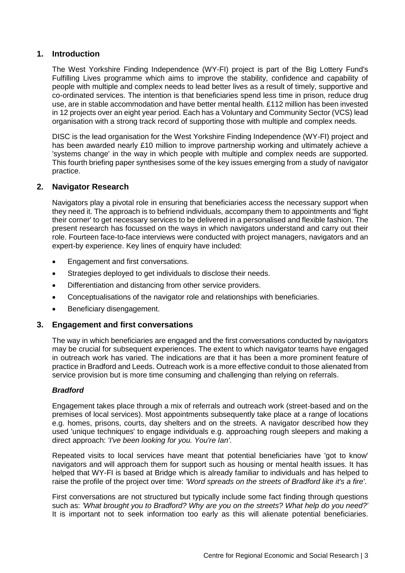#### **1. Introduction**

The West Yorkshire Finding Independence (WY-FI) project is part of the Big Lottery Fund's Fulfilling Lives programme which aims to improve the stability, confidence and capability of people with multiple and complex needs to lead better lives as a result of timely, supportive and co-ordinated services. The intention is that beneficiaries spend less time in prison, reduce drug use, are in stable accommodation and have better mental health. £112 million has been invested in 12 projects over an eight year period. Each has a Voluntary and Community Sector (VCS) lead organisation with a strong track record of supporting those with multiple and complex needs.

DISC is the lead organisation for the West Yorkshire Finding Independence (WY-FI) project and has been awarded nearly £10 million to improve partnership working and ultimately achieve a 'systems change' in the way in which people with multiple and complex needs are supported. This fourth briefing paper synthesises some of the key issues emerging from a study of navigator practice.

#### **2. Navigator Research**

Navigators play a pivotal role in ensuring that beneficiaries access the necessary support when they need it. The approach is to befriend individuals, accompany them to appointments and 'fight their corner' to get necessary services to be delivered in a personalised and flexible fashion. The present research has focussed on the ways in which navigators understand and carry out their role. Fourteen face-to-face interviews were conducted with project managers, navigators and an expert-by experience. Key lines of enquiry have included:

- Engagement and first conversations.
- Strategies deployed to get individuals to disclose their needs.
- Differentiation and distancing from other service providers.
- Conceptualisations of the navigator role and relationships with beneficiaries.
- Beneficiary disengagement.

#### **3. Engagement and first conversations**

The way in which beneficiaries are engaged and the first conversations conducted by navigators may be crucial for subsequent experiences. The extent to which navigator teams have engaged in outreach work has varied. The indications are that it has been a more prominent feature of practice in Bradford and Leeds. Outreach work is a more effective conduit to those alienated from service provision but is more time consuming and challenging than relying on referrals.

#### *Bradford*

Engagement takes place through a mix of referrals and outreach work (street-based and on the premises of local services). Most appointments subsequently take place at a range of locations e.g. homes, prisons, courts, day shelters and on the streets. A navigator described how they used 'unique techniques' to engage individuals e.g. approaching rough sleepers and making a direct approach: *'I've been looking for you. You're Ian'*.

Repeated visits to local services have meant that potential beneficiaries have 'got to know' navigators and will approach them for support such as housing or mental health issues. It has helped that WY-FI is based at Bridge which is already familiar to individuals and has helped to raise the profile of the project over time: *'Word spreads on the streets of Bradford like it's a fire'*.

First conversations are not structured but typically include some fact finding through questions such as: *'What brought you to Bradford? Why are you on the streets? What help do you need?'* It is important not to seek information too early as this will alienate potential beneficiaries.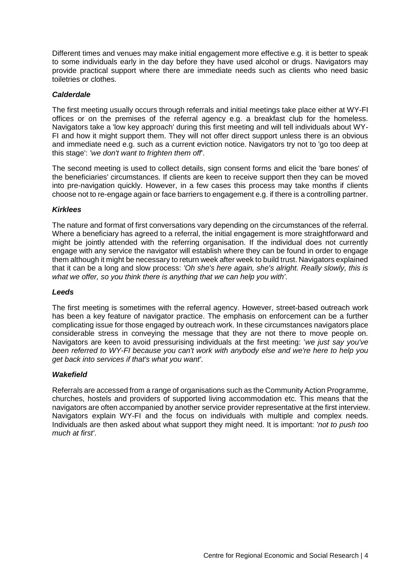Different times and venues may make initial engagement more effective e.g. it is better to speak to some individuals early in the day before they have used alcohol or drugs. Navigators may provide practical support where there are immediate needs such as clients who need basic toiletries or clothes.

#### *Calderdale*

The first meeting usually occurs through referrals and initial meetings take place either at WY-FI offices or on the premises of the referral agency e.g. a breakfast club for the homeless. Navigators take a 'low key approach' during this first meeting and will tell individuals about WY-FI and how it might support them. They will not offer direct support unless there is an obvious and immediate need e.g. such as a current eviction notice. Navigators try not to 'go too deep at this stage': *'we don't want to frighten them off*'.

The second meeting is used to collect details, sign consent forms and elicit the 'bare bones' of the beneficiaries' circumstances. If clients are keen to receive support then they can be moved into pre-navigation quickly. However, in a few cases this process may take months if clients choose not to re-engage again or face barriers to engagement e.g. if there is a controlling partner.

#### *Kirklees*

The nature and format of first conversations vary depending on the circumstances of the referral. Where a beneficiary has agreed to a referral, the initial engagement is more straightforward and might be jointly attended with the referring organisation. If the individual does not currently engage with any service the navigator will establish where they can be found in order to engage them although it might be necessary to return week after week to build trust. Navigators explained that it can be a long and slow process: *'Oh she's here again, she's alright. Really slowly, this is what we offer, so you think there is anything that we can help you with'*.

#### *Leeds*

The first meeting is sometimes with the referral agency. However, street-based outreach work has been a key feature of navigator practice. The emphasis on enforcement can be a further complicating issue for those engaged by outreach work. In these circumstances navigators place considerable stress in conveying the message that they are not there to move people on. Navigators are keen to avoid pressurising individuals at the first meeting: '*we just say you've been referred to WY-FI because you can't work with anybody else and we're here to help you get back into services if that's what you want'*.

#### *Wakefield*

Referrals are accessed from a range of organisations such as the Community Action Programme, churches, hostels and providers of supported living accommodation etc. This means that the navigators are often accompanied by another service provider representative at the first interview. Navigators explain WY-FI and the focus on individuals with multiple and complex needs. Individuals are then asked about what support they might need. It is important: *'not to push too much at first'*.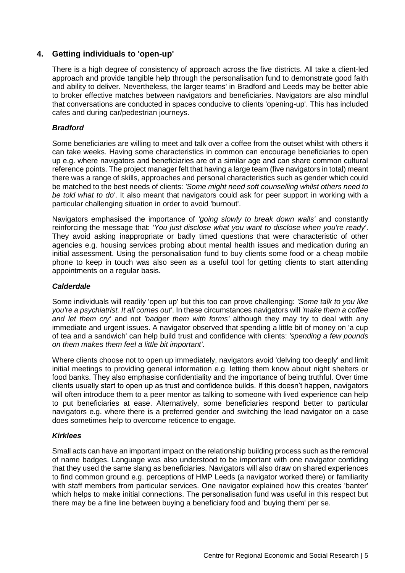#### **4. Getting individuals to 'open-up'**

There is a high degree of consistency of approach across the five districts. All take a client-led approach and provide tangible help through the personalisation fund to demonstrate good faith and ability to deliver. Nevertheless, the larger teams' in Bradford and Leeds may be better able to broker effective matches between navigators and beneficiaries. Navigators are also mindful that conversations are conducted in spaces conducive to clients 'opening-up'. This has included cafes and during car/pedestrian journeys.

#### *Bradford*

Some beneficiaries are willing to meet and talk over a coffee from the outset whilst with others it can take weeks. Having some characteristics in common can encourage beneficiaries to open up e.g. where navigators and beneficiaries are of a similar age and can share common cultural reference points. The project manager felt that having a large team (five navigators in total) meant there was a range of skills, approaches and personal characteristics such as gender which could be matched to the best needs of clients: *'Some might need soft counselling whilst others need to be told what to do'*. It also meant that navigators could ask for peer support in working with a particular challenging situation in order to avoid 'burnout'.

Navigators emphasised the importance of *'going slowly to break down walls'* and constantly reinforcing the message that: *'You just disclose what you want to disclose when you're ready'*. They avoid asking inappropriate or badly timed questions that were characteristic of other agencies e.g. housing services probing about mental health issues and medication during an initial assessment. Using the personalisation fund to buy clients some food or a cheap mobile phone to keep in touch was also seen as a useful tool for getting clients to start attending appointments on a regular basis.

#### *Calderdale*

Some individuals will readily 'open up' but this too can prove challenging: *'Some talk to you like you're a psychiatrist. It all comes out'*. In these circumstances navigators will *'make them a coffee and let them cry'* and not *'badger them with forms'* although they may try to deal with any immediate and urgent issues. A navigator observed that spending a little bit of money on 'a cup of tea and a sandwich' can help build trust and confidence with clients: *'spending a few pounds on them makes them feel a little bit important'*.

Where clients choose not to open up immediately, navigators avoid 'delving too deeply' and limit initial meetings to providing general information e.g. letting them know about night shelters or food banks. They also emphasise confidentiality and the importance of being truthful. Over time clients usually start to open up as trust and confidence builds. If this doesn't happen, navigators will often introduce them to a peer mentor as talking to someone with lived experience can help to put beneficiaries at ease. Alternatively, some beneficiaries respond better to particular navigators e.g. where there is a preferred gender and switching the lead navigator on a case does sometimes help to overcome reticence to engage.

#### *Kirklees*

Small acts can have an important impact on the relationship building process such as the removal of name badges. Language was also understood to be important with one navigator confiding that they used the same slang as beneficiaries. Navigators will also draw on shared experiences to find common ground e.g. perceptions of HMP Leeds (a navigator worked there) or familiarity with staff members from particular services. One navigator explained how this creates 'banter' which helps to make initial connections. The personalisation fund was useful in this respect but there may be a fine line between buying a beneficiary food and 'buying them' per se.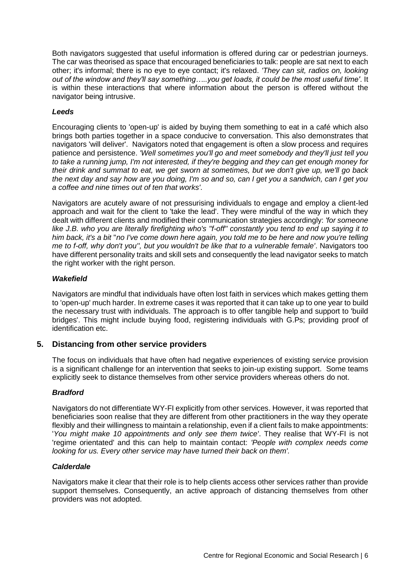Both navigators suggested that useful information is offered during car or pedestrian journeys. The car was theorised as space that encouraged beneficiaries to talk: people are sat next to each other; it's informal; there is no eye to eye contact; it's relaxed. *'They can sit, radios on, looking out of the window and they'll say something…..you get loads, it could be the most useful time'*. It is within these interactions that where information about the person is offered without the navigator being intrusive.

#### *Leeds*

Encouraging clients to 'open-up' is aided by buying them something to eat in a café which also brings both parties together in a space conducive to conversation. This also demonstrates that navigators 'will deliver'. Navigators noted that engagement is often a slow process and requires patience and persistence. *'Well sometimes you'll go and meet somebody and they'll just tell you to take a running jump, I'm not interested, if they're begging and they can get enough money for their drink and summat to eat, we get sworn at sometimes, but we don't give up, we'll go back the next day and say how are you doing, I'm so and so, can I get you a sandwich, can I get you a coffee and nine times out of ten that works'*.

Navigators are acutely aware of not pressurising individuals to engage and employ a client-led approach and wait for the client to 'take the lead'. They were mindful of the way in which they dealt with different clients and modified their communication strategies accordingly: *'for someone like J.B. who you are literally firefighting who's ''f-off'' constantly you tend to end up saying it to him back, it's a bit* ''*no I've come down here again, you told me to be here and now you're telling me to f-off, why don't you'', but you wouldn't be like that to a vulnerable female'*. Navigators too have different personality traits and skill sets and consequently the lead navigator seeks to match the right worker with the right person.

#### *Wakefield*

Navigators are mindful that individuals have often lost faith in services which makes getting them to 'open-up' much harder. In extreme cases it was reported that it can take up to one year to build the necessary trust with individuals. The approach is to offer tangible help and support to 'build bridges'. This might include buying food, registering individuals with G.Ps; providing proof of identification etc.

#### **5. Distancing from other service providers**

The focus on individuals that have often had negative experiences of existing service provision is a significant challenge for an intervention that seeks to join-up existing support. Some teams explicitly seek to distance themselves from other service providers whereas others do not.

#### *Bradford*

Navigators do not differentiate WY-FI explicitly from other services. However, it was reported that beneficiaries soon realise that they are different from other practitioners in the way they operate flexibly and their willingness to maintain a relationship, even if a client fails to make appointments: '*You might make 10 appointments and only see them twice'*. They realise that WY-FI is not 'regime orientated' and this can help to maintain contact: *'People with complex needs come looking for us. Every other service may have turned their back on them'.*

#### *Calderdale*

Navigators make it clear that their role is to help clients access other services rather than provide support themselves. Consequently, an active approach of distancing themselves from other providers was not adopted.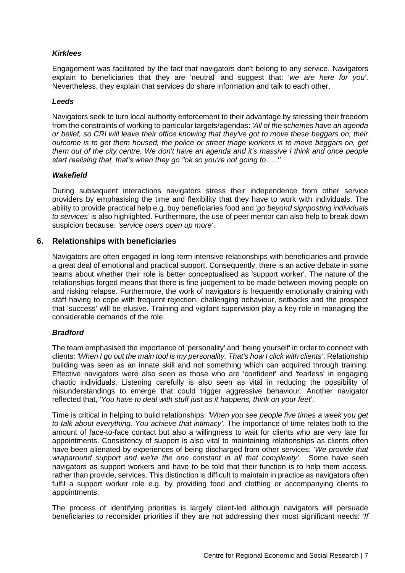#### *Kirklees*

Engagement was facilitated by the fact that navigators don't belong to any service. Navigators explain to beneficiaries that they are 'neutral' and suggest that: '*we are here for you'*. Nevertheless, they explain that services do share information and talk to each other.

#### *Leeds*

Navigators seek to turn local authority enforcement to their advantage by stressing their freedom from the constraints of working to particular targets/agendas: *'All of the schemes have an agenda or belief, so CRI will leave their office knowing that they've got to move these beggars on, their outcome is to get them housed, the police or street triage workers is to move beggars on, get them out of the city centre. We don't have an agenda and it's massive I think and once people start realising that, that's when they go ''ok so you're not going to…..''*

#### *Wakefield*

During subsequent interactions navigators stress their independence from other service providers by emphasising the time and flexibility that they have to work with individuals. The ability to provide practical help e.g. buy beneficiaries food and *'go beyond signposting individuals to services'* is also highlighted. Furthermore, the use of peer mentor can also help to break down suspicion because: *'service users open up more'*.

#### **6. Relationships with beneficiaries**

Navigators are often engaged in long-term intensive relationships with beneficiaries and provide a great deal of emotional and practical support. Consequently, there is an active debate in some teams about whether their role is better conceptualised as 'support worker'. The nature of the relationships forged means that there is fine judgement to be made between moving people on and risking relapse. Furthermore, the work of navigators is frequently emotionally draining with staff having to cope with frequent rejection, challenging behaviour, setbacks and the prospect that 'success' will be elusive. Training and vigilant supervision play a key role in managing the considerable demands of the role.

#### *Bradford*

The team emphasised the importance of 'personality' and 'being yourself' in order to connect with clients: *'When I go out the main tool is my personality. That's how I click with clients'*. Relationship building was seen as an innate skill and not something which can acquired through training. Effective navigators were also seen as those who are 'confident' and 'fearless' in engaging chaotic individuals. Listening carefully is also seen as vital in reducing the possibility of misunderstandings to emerge that could trigger aggressive behaviour. Another navigator reflected that, *'You have to deal with stuff just as it happens, think on your feet'*.

Time is critical in helping to build relationships: *'When you see people five times a week you get to talk about everything. You achieve that intimacy'*. The importance of time relates both to the amount of face-to-face contact but also a willingness to wait for clients who are very late for appointments. Consistency of support is also vital to maintaining relationships as clients often have been alienated by experiences of being discharged from other services: *'We provide that wraparound support and we're the one constant in all that complexity'*. Some have seen navigators as support workers and have to be told that their function is to help them access, rather than provide, services. This distinction is difficult to maintain in practice as navigators often fulfil a support worker role e.g. by providing food and clothing or accompanying clients to appointments.

The process of identifying priorities is largely client-led although navigators will persuade beneficiaries to reconsider priorities if they are not addressing their most significant needs: *'If*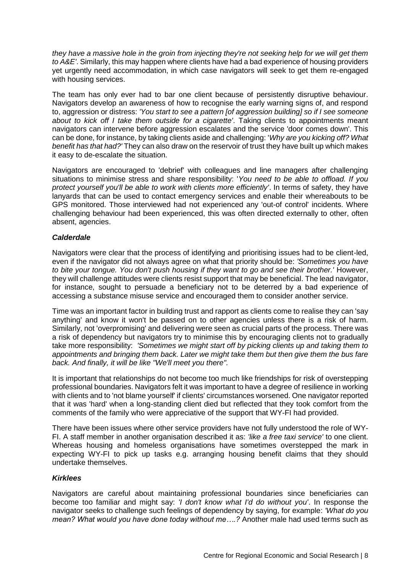*they have a massive hole in the groin from injecting they're not seeking help for we will get them to A&E'*. Similarly, this may happen where clients have had a bad experience of housing providers yet urgently need accommodation, in which case navigators will seek to get them re-engaged with housing services.

The team has only ever had to bar one client because of persistently disruptive behaviour. Navigators develop an awareness of how to recognise the early warning signs of, and respond to, aggression or distress: *'You start to see a pattern [of aggression building] so if I see someone about to kick off I take them outside for a cigarette'*. Taking clients to appointments meant navigators can intervene before aggression escalates and the service 'door comes down'. This can be done, for instance, by taking clients aside and challenging: '*Why are you kicking off? What benefit has that had?'* They can also draw on the reservoir of trust they have built up which makes it easy to de-escalate the situation.

Navigators are encouraged to 'debrief' with colleagues and line managers after challenging situations to minimise stress and share responsibility: '*You need to be able to offload. If you protect yourself you'll be able to work with clients more efficiently'*. In terms of safety, they have lanyards that can be used to contact emergency services and enable their whereabouts to be GPS monitored. Those interviewed had not experienced any 'out-of control' incidents. Where challenging behaviour had been experienced, this was often directed externally to other, often absent, agencies.

#### *Calderdale*

Navigators were clear that the process of identifying and prioritising issues had to be client-led, even if the navigator did not always agree on what that priority should be: *'Sometimes you have to bite your tongue. You don't push housing if they want to go and see their brother.'* However, they will challenge attitudes were clients resist support that may be beneficial. The lead navigator, for instance, sought to persuade a beneficiary not to be deterred by a bad experience of accessing a substance misuse service and encouraged them to consider another service.

Time was an important factor in building trust and rapport as clients come to realise they can 'say anything' and know it won't be passed on to other agencies unless there is a risk of harm. Similarly, not 'overpromising' and delivering were seen as crucial parts of the process. There was a risk of dependency but navigators try to minimise this by encouraging clients not to gradually take more responsibility: *'Sometimes we might start off by picking clients up and taking them to appointments and bringing them back. Later we might take them but then give them the bus fare back. And finally, it will be like "We'll meet you there".*

It is important that relationships do not become too much like friendships for risk of overstepping professional boundaries. Navigators felt it was important to have a degree of resilience in working with clients and to 'not blame yourself' if clients' circumstances worsened. One navigator reported that it was 'hard' when a long-standing client died but reflected that they took comfort from the comments of the family who were appreciative of the support that WY-FI had provided.

There have been issues where other service providers have not fully understood the role of WY-FI. A staff member in another organisation described it as: *'like a free taxi service'* to one client. Whereas housing and homeless organisations have sometimes overstepped the mark in expecting WY-FI to pick up tasks e.g. arranging housing benefit claims that they should undertake themselves.

#### *Kirklees*

Navigators are careful about maintaining professional boundaries since beneficiaries can become too familiar and might say: *'I don't know what I'd do without you'*. In response the navigator seeks to challenge such feelings of dependency by saying, for example: *'What do you mean? What would you have done today without me….?* Another male had used terms such as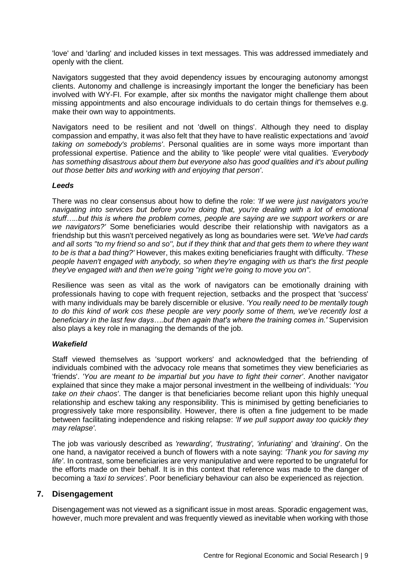'love' and 'darling' and included kisses in text messages. This was addressed immediately and openly with the client.

Navigators suggested that they avoid dependency issues by encouraging autonomy amongst clients. Autonomy and challenge is increasingly important the longer the beneficiary has been involved with WY-FI. For example, after six months the navigator might challenge them about missing appointments and also encourage individuals to do certain things for themselves e.g. make their own way to appointments.

Navigators need to be resilient and not 'dwell on things'. Although they need to display compassion and empathy, it was also felt that they have to have realistic expectations and *'avoid taking on somebody's problems'*. Personal qualities are in some ways more important than professional expertise. Patience and the ability to 'like people' were vital qualities. *'Everybody has something disastrous about them but everyone also has good qualities and it's about pulling out those better bits and working with and enjoying that person'*.

#### *Leeds*

There was no clear consensus about how to define the role: *'If we were just navigators you're navigating into services but before you're doing that, you're dealing with a lot of emotional stuff…..but this is where the problem comes, people are saying are we support workers or are we navigators?'* Some beneficiaries would describe their relationship with navigators as a friendship but this wasn't perceived negatively as long as boundaries were set. *'We've had cards and all sorts ''to my friend so and so'', but if they think that and that gets them to where they want to be is that a bad thing?'* However, this makes exiting beneficiaries fraught with difficulty. *'These people haven't engaged with anybody, so when they're engaging with us that's the first people they've engaged with and then we're going ''right we're going to move you on''.*

Resilience was seen as vital as the work of navigators can be emotionally draining with professionals having to cope with frequent rejection, setbacks and the prospect that 'success' with many individuals may be barely discernible or elusive. *'You really need to be mentally tough*  to do this kind of work cos these people are very poorly some of them, we've recently lost a *beneficiary in the last few days….but then again that's where the training comes in.'* Supervision also plays a key role in managing the demands of the job.

#### *Wakefield*

Staff viewed themselves as 'support workers' and acknowledged that the befriending of individuals combined with the advocacy role means that sometimes they view beneficiaries as 'friends'. *'You are meant to be impartial but you have to fight their corner'*. Another navigator explained that since they make a major personal investment in the wellbeing of individuals: *'You take on their chaos'*. The danger is that beneficiaries become reliant upon this highly unequal relationship and eschew taking any responsibility. This is minimised by getting beneficiaries to progressively take more responsibility. However, there is often a fine judgement to be made between facilitating independence and risking relapse: *'If we pull support away too quickly they may relapse'*.

The job was variously described as *'rewarding', 'frustrating', 'infuriating'* and *'draining*'. On the one hand, a navigator received a bunch of flowers with a note saying: *'Thank you for saving my life'*. In contrast, some beneficiaries are very manipulative and were reported to be ungrateful for the efforts made on their behalf. It is in this context that reference was made to the danger of becoming a *'taxi to services'*. Poor beneficiary behaviour can also be experienced as rejection.

#### **7. Disengagement**

Disengagement was not viewed as a significant issue in most areas. Sporadic engagement was, however, much more prevalent and was frequently viewed as inevitable when working with those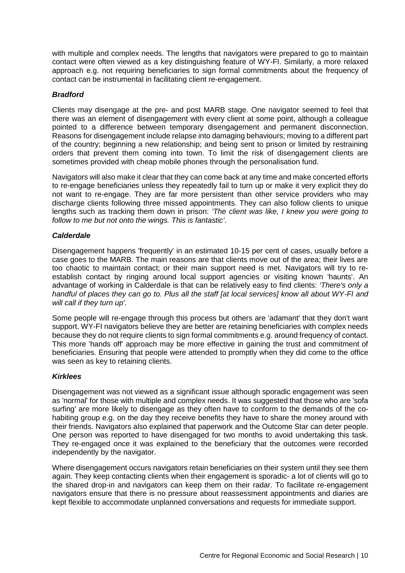with multiple and complex needs. The lengths that navigators were prepared to go to maintain contact were often viewed as a key distinguishing feature of WY-FI. Similarly, a more relaxed approach e.g. not requiring beneficiaries to sign formal commitments about the frequency of contact can be instrumental in facilitating client re-engagement.

#### *Bradford*

Clients may disengage at the pre- and post MARB stage. One navigator seemed to feel that there was an element of disengagement with every client at some point, although a colleague pointed to a difference between temporary disengagement and permanent disconnection. Reasons for disengagement include relapse into damaging behaviours; moving to a different part of the country; beginning a new relationship; and being sent to prison or limited by restraining orders that prevent them coming into town. To limit the risk of disengagement clients are sometimes provided with cheap mobile phones through the personalisation fund.

Navigators will also make it clear that they can come back at any time and make concerted efforts to re-engage beneficiaries unless they repeatedly fail to turn up or make it very explicit they do not want to re-engage. They are far more persistent than other service providers who may discharge clients following three missed appointments. They can also follow clients to unique lengths such as tracking them down in prison: *'The client was like, I knew you were going to follow to me but not onto the wings. This is fantastic'*.

#### *Calderdale*

Disengagement happens 'frequently' in an estimated 10-15 per cent of cases, usually before a case goes to the MARB. The main reasons are that clients move out of the area; their lives are too chaotic to maintain contact; or their main support need is met. Navigators will try to reestablish contact by ringing around local support agencies or visiting known 'haunts'. An advantage of working in Calderdale is that can be relatively easy to find clients: *'There's only a handful of places they can go to. Plus all the staff [at local services] know all about WY-FI and will call if they turn up'.* 

Some people will re-engage through this process but others are 'adamant' that they don't want support. WY-FI navigators believe they are better are retaining beneficiaries with complex needs because they do not require clients to sign formal commitments e.g. around frequency of contact. This more 'hands off' approach may be more effective in gaining the trust and commitment of beneficiaries. Ensuring that people were attended to promptly when they did come to the office was seen as key to retaining clients.

#### *Kirklees*

Disengagement was not viewed as a significant issue although sporadic engagement was seen as 'normal' for those with multiple and complex needs. It was suggested that those who are 'sofa surfing' are more likely to disengage as they often have to conform to the demands of the cohabiting group e.g. on the day they receive benefits they have to share the money around with their friends. Navigators also explained that paperwork and the Outcome Star can deter people. One person was reported to have disengaged for two months to avoid undertaking this task. They re-engaged once it was explained to the beneficiary that the outcomes were recorded independently by the navigator.

Where disengagement occurs navigators retain beneficiaries on their system until they see them again. They keep contacting clients when their engagement is sporadic- a lot of clients will go to the shared drop-in and navigators can keep them on their radar. To facilitate re-engagement navigators ensure that there is no pressure about reassessment appointments and diaries are kept flexible to accommodate unplanned conversations and requests for immediate support.